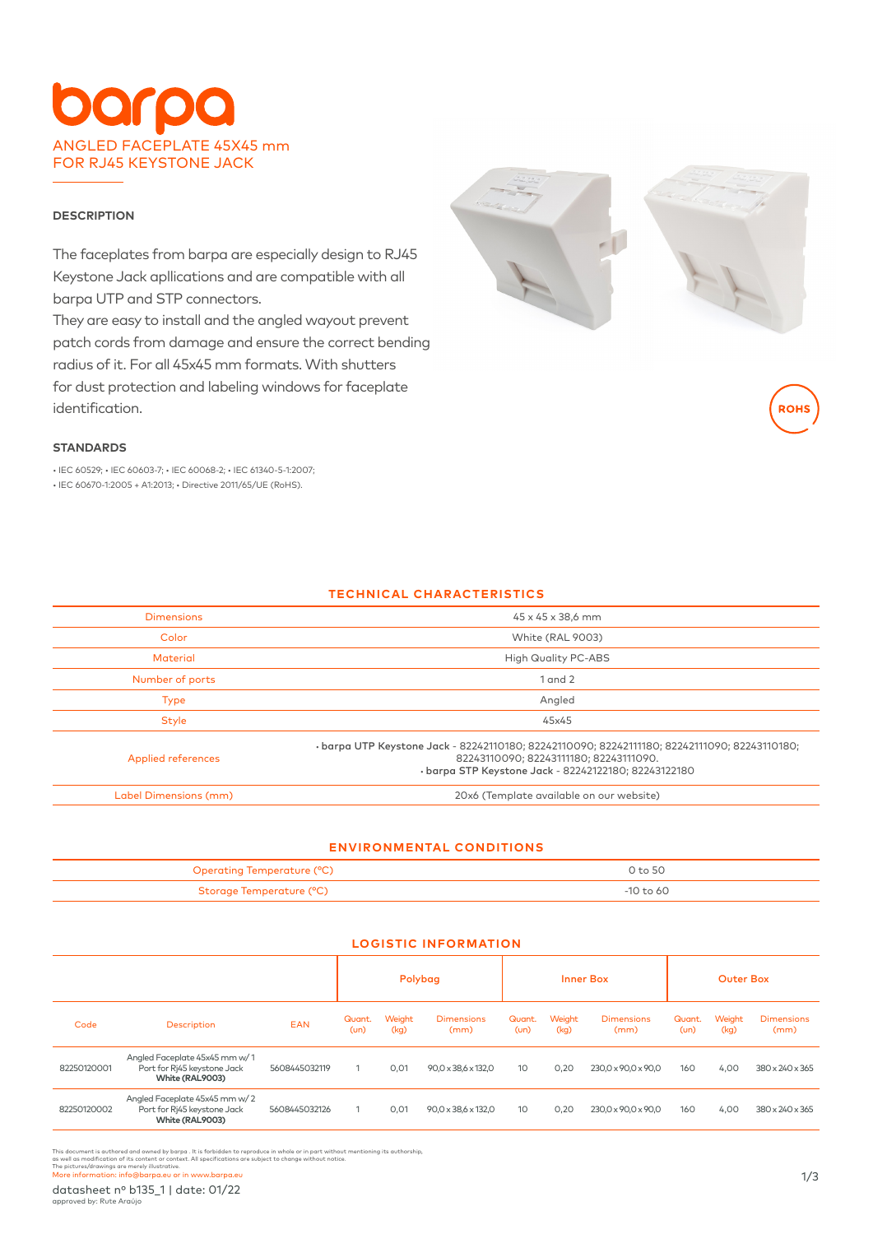# arpo ANGLED FACEPLATE 45X45 mm FOR RJ45 KEYSTONE JACK

#### **DESCRIPTION**

The faceplates from barpa are especially design to RJ45 Keystone Jack apllications and are compatible with all barpa UTP and STP connectors.

They are easy to install and the angled wayout prevent patch cords from damage and ensure the correct bending radius of it. For all 45x45 mm formats. With shutters for dust protection and labeling windows for faceplate identification.



# **STANDARDS**

• IEC 60529; • IEC 60603-7; • IEC 60068-2; • IEC 61340-5-1:2007; • IEC 60670-1:2005 + A1:2013; • Directive 2011/65/UE (RoHS).

# **TECHNICAL CHARACTERISTICS**

| <b>Dimensions</b>         | 45 x 45 x 38,6 mm                                                                                                                                                                             |
|---------------------------|-----------------------------------------------------------------------------------------------------------------------------------------------------------------------------------------------|
| Color                     | White (RAL 9003)                                                                                                                                                                              |
| <b>Material</b>           | <b>High Quality PC-ABS</b>                                                                                                                                                                    |
| Number of ports           | $1$ and $2$                                                                                                                                                                                   |
| <b>Type</b>               | Angled                                                                                                                                                                                        |
| <b>Style</b>              | 45x45                                                                                                                                                                                         |
| <b>Applied references</b> | ·barpa UTP Keystone Jack - 82242110180; 82242110090; 82242111180; 82242111090; 82243110180;<br>82243110090; 82243111180; 82243111090.<br>· barpa STP Keystone Jack - 82242122180; 82243122180 |
| Label Dimensions (mm)     | 20x6 (Template available on our website)                                                                                                                                                      |

# **ENVIRONMENTAL CONDITIONS**

| Operating Temperature (°C) | 0 <sub>to</sub> 50 |
|----------------------------|--------------------|
| Storage Temperature (°C)   | -10 to 60.         |

**LOGISTIC INFORMATION**

|             |                                                                                 |               | Polybag       |                |                           | <b>Inner Box</b> |                |                           | <b>Outer Box</b> |                |                           |
|-------------|---------------------------------------------------------------------------------|---------------|---------------|----------------|---------------------------|------------------|----------------|---------------------------|------------------|----------------|---------------------------|
| Code        | Description                                                                     | <b>EAN</b>    | Quant.<br>(m) | Weight<br>(kq) | <b>Dimensions</b><br>(mm) | Quant.<br>(m)    | Weight<br>(kg) | <b>Dimensions</b><br>(mm) | Quant.<br>(m)    | Weight<br>(kg) | <b>Dimensions</b><br>(mm) |
| 82250120001 | Angled Faceplate 45x45 mm w/1<br>Port for Rj45 keystone Jack<br>White (RAL9003) | 5608445032119 |               | 0,01           | 90.0 x 38.6 x 132.0       | 10 <sup>°</sup>  | 0,20           | 230.0 x 90.0 x 90.0       | 160              | 4,00           | 380 x 240 x 365           |
| 82250120002 | Angled Faceplate 45x45 mm w/2<br>Port for Rj45 keystone Jack<br>White (RAL9003) | 5608445032126 |               | 0,01           | 90,0 x 38,6 x 132,0       | 10 <sup>°</sup>  | 0,20           | 230.0 x 90.0 x 90.0       | 160              | 4,00           | 380 x 240 x 365           |

This document is authored and owned by barpa . It is forbidden to reproduce in whole or in part without mentioning its authorship,<br>as well as modification of its content or context. All specifications are subject to change

The pictures/drawings are merely illustrative.<br>More information: info@barpa.eu or in www.barpa.eu 1/3

datasheet nº b135\_1 | date: 01/22 approved by: Rute Araújo

**ROH**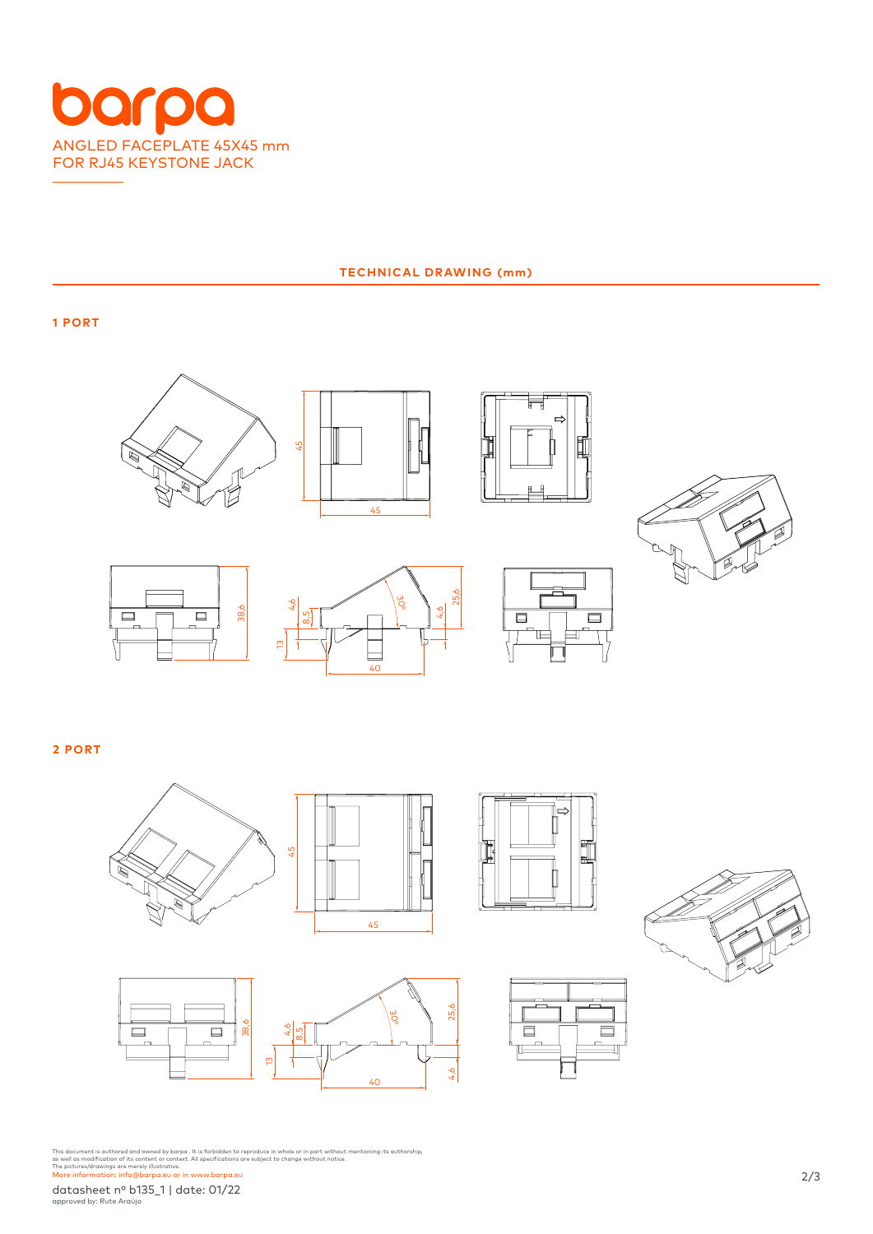

### **TECHNICAL DRAWING (mm)**

**1 PORT**













 $\overline{a}$ IE.

**2 PORT**







This document is authored and owned by barpa . It is forbidden to reproduce in whole or in part without mentioning its authorship,<br>as well as modification of its content or context. All specifications are subject to change

datasheet nº b135\_1 | date: 01/22

approved by: Rute Araújo